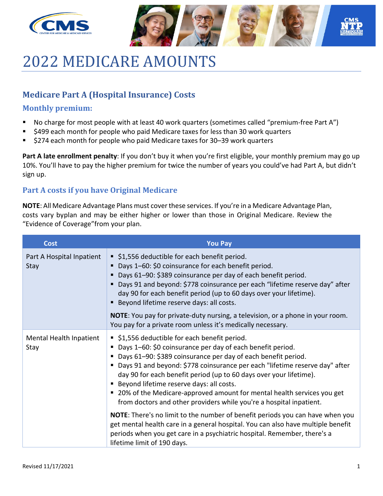



# 2022 MEDICARE AMOUNTS

### **Medicare Part A (Hospital Insurance) Costs**

#### **Monthly premium:**

- No charge for most people with at least 40 work quarters (sometimes called "premium-free Part A")
- \$499 each month for people who paid Medicare taxes for less than 30 work quarters
- \$274 each month for people who paid Medicare taxes for 30–39 work quarters

**Part A late enrollment penalty**: If you don't buy it when you're first eligible, your monthly premium may go up 10%. You'll have to pay the higher premium for twice the number of years you could've had Part A, but didn't sign up.

#### **Part A costs if you have Original Medicare**

**NOTE**: All Medicare Advantage Plans must cover these services. If you're in a Medicare Advantage Plan, costs vary byplan and may be either higher or lower than those in Original Medicare. Review the "Evidence of Coverage"from your plan.

| <b>Cost</b>                       | <b>You Pay</b>                                                                                                                                                                                                                                                                                                                                                                                                                                                                                                                              |  |  |
|-----------------------------------|---------------------------------------------------------------------------------------------------------------------------------------------------------------------------------------------------------------------------------------------------------------------------------------------------------------------------------------------------------------------------------------------------------------------------------------------------------------------------------------------------------------------------------------------|--|--|
| Part A Hospital Inpatient<br>Stay | ■ \$1,556 deductible for each benefit period.<br>Days 1-60: \$0 coinsurance for each benefit period.<br>Days 61-90: \$389 coinsurance per day of each benefit period.<br>Days 91 and beyond: \$778 coinsurance per each "lifetime reserve day" after<br>day 90 for each benefit period (up to 60 days over your lifetime).<br>Beyond lifetime reserve days: all costs.<br>NOTE: You pay for private-duty nursing, a television, or a phone in your room.<br>You pay for a private room unless it's medically necessary.                     |  |  |
| Mental Health Inpatient<br>Stay   | ■ \$1,556 deductible for each benefit period.<br>■ Days 1-60: \$0 coinsurance per day of each benefit period.<br>Days 61-90: \$389 coinsurance per day of each benefit period.<br>■ Days 91 and beyond: \$778 coinsurance per each "lifetime reserve day" after<br>day 90 for each benefit period (up to 60 days over your lifetime).<br><b>Beyond lifetime reserve days: all costs.</b><br>■ 20% of the Medicare-approved amount for mental health services you get<br>from doctors and other providers while you're a hospital inpatient. |  |  |
|                                   | <b>NOTE:</b> There's no limit to the number of benefit periods you can have when you<br>get mental health care in a general hospital. You can also have multiple benefit<br>periods when you get care in a psychiatric hospital. Remember, there's a<br>lifetime limit of 190 days.                                                                                                                                                                                                                                                         |  |  |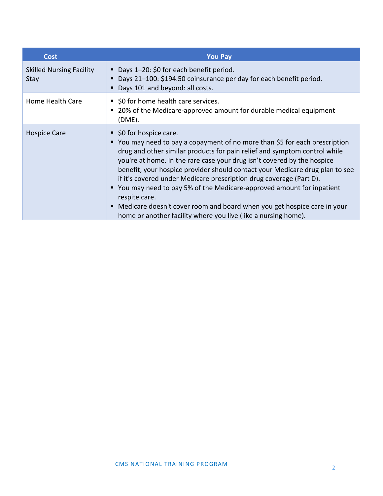| Cost                                    | <b>You Pay</b>                                                                                                                                                                                                                                                                                                                                                                                                                                                                                                                                                                                                                                              |
|-----------------------------------------|-------------------------------------------------------------------------------------------------------------------------------------------------------------------------------------------------------------------------------------------------------------------------------------------------------------------------------------------------------------------------------------------------------------------------------------------------------------------------------------------------------------------------------------------------------------------------------------------------------------------------------------------------------------|
| <b>Skilled Nursing Facility</b><br>Stay | Days 1-20: \$0 for each benefit period.<br>Days 21-100: \$194.50 coinsurance per day for each benefit period.<br>Days 101 and beyond: all costs.                                                                                                                                                                                                                                                                                                                                                                                                                                                                                                            |
| Home Health Care                        | \$0 for home health care services.<br>20% of the Medicare-approved amount for durable medical equipment<br>(DME).                                                                                                                                                                                                                                                                                                                                                                                                                                                                                                                                           |
| <b>Hospice Care</b>                     | ■ \$0 for hospice care.<br>■ You may need to pay a copayment of no more than \$5 for each prescription<br>drug and other similar products for pain relief and symptom control while<br>you're at home. In the rare case your drug isn't covered by the hospice<br>benefit, your hospice provider should contact your Medicare drug plan to see<br>if it's covered under Medicare prescription drug coverage (Part D).<br>You may need to pay 5% of the Medicare-approved amount for inpatient<br>respite care.<br>Medicare doesn't cover room and board when you get hospice care in your<br>home or another facility where you live (like a nursing home). |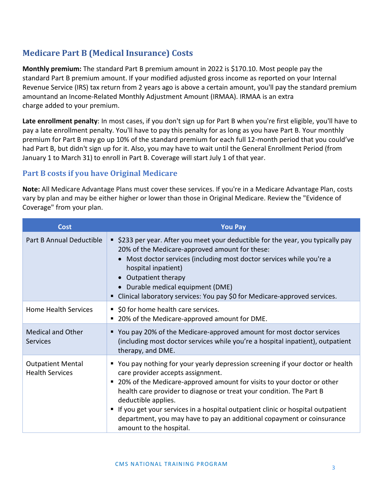## **Medicare Part B (Medical Insurance) Costs**

**Monthly premium:** The standard Part B premium amount in 2022 is \$170.10. Most people pay the standard Part B premium amount. If your modified adjusted gross income as reported on your Internal Revenue Service (IRS) tax return from 2 years ago is above a certain amount, you'll pay the standard premium amountand an Income-Related Monthly Adjustment Amount (IRMAA). IRMAA is an extra charge added to your premium.

**Late enrollment penalty**: In most cases, if you don't sign up for Part B when you're first eligible, you'll have to pay a late enrollment penalty. You'll have to pay this penalty for as long as you have Part B. Your monthly premium for Part B may go up 10% of the standard premium for each full 12-month period that you could've had Part B, but didn't sign up for it. Also, you may have to wait until the General Enrollment Period (from January 1 to March 31) to enroll in Part B. Coverage will start July 1 of that year.

#### **Part B costs if you have Original Medicare**

**Note:** All Medicare Advantage Plans must cover these services. If you're in a Medicare Advantage Plan, costs vary by plan and may be either higher or lower than those in Original Medicare. Review the "Evidence of Coverage" from your plan.

| <b>Cost</b>                                        | <b>You Pay</b>                                                                                                                                                                                                                                                                                                                                                                                                                                                                            |
|----------------------------------------------------|-------------------------------------------------------------------------------------------------------------------------------------------------------------------------------------------------------------------------------------------------------------------------------------------------------------------------------------------------------------------------------------------------------------------------------------------------------------------------------------------|
| Part B Annual Deductible                           | ■ \$233 per year. After you meet your deductible for the year, you typically pay<br>20% of the Medicare-approved amount for these:<br>Most doctor services (including most doctor services while you're a<br>hospital inpatient)<br>Outpatient therapy<br>• Durable medical equipment (DME)<br>■ Clinical laboratory services: You pay \$0 for Medicare-approved services.                                                                                                                |
| <b>Home Health Services</b>                        | ■ \$0 for home health care services.<br>■ 20% of the Medicare-approved amount for DME.                                                                                                                                                                                                                                                                                                                                                                                                    |
| <b>Medical and Other</b><br><b>Services</b>        | ■ You pay 20% of the Medicare-approved amount for most doctor services<br>(including most doctor services while you're a hospital inpatient), outpatient<br>therapy, and DME.                                                                                                                                                                                                                                                                                                             |
| <b>Outpatient Mental</b><br><b>Health Services</b> | • You pay nothing for your yearly depression screening if your doctor or health<br>care provider accepts assignment.<br>■ 20% of the Medicare-approved amount for visits to your doctor or other<br>health care provider to diagnose or treat your condition. The Part B<br>deductible applies.<br>" If you get your services in a hospital outpatient clinic or hospital outpatient<br>department, you may have to pay an additional copayment or coinsurance<br>amount to the hospital. |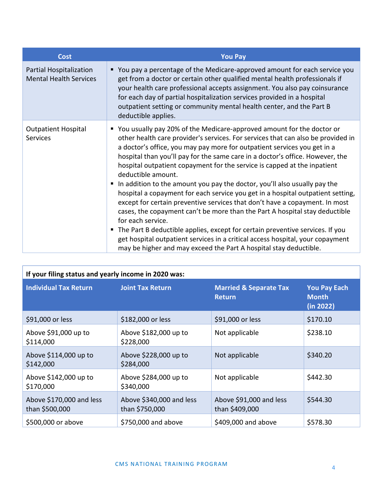| Cost                                                     | <b>You Pay</b>                                                                                                                                                                                                                                                                                                                                                                                                                                                                                                                                                                                                                                                                                                                                                                                                                                                                                                                                                                                                          |  |  |
|----------------------------------------------------------|-------------------------------------------------------------------------------------------------------------------------------------------------------------------------------------------------------------------------------------------------------------------------------------------------------------------------------------------------------------------------------------------------------------------------------------------------------------------------------------------------------------------------------------------------------------------------------------------------------------------------------------------------------------------------------------------------------------------------------------------------------------------------------------------------------------------------------------------------------------------------------------------------------------------------------------------------------------------------------------------------------------------------|--|--|
| Partial Hospitalization<br><b>Mental Health Services</b> | ■ You pay a percentage of the Medicare-approved amount for each service you<br>get from a doctor or certain other qualified mental health professionals if<br>your health care professional accepts assignment. You also pay coinsurance<br>for each day of partial hospitalization services provided in a hospital<br>outpatient setting or community mental health center, and the Part B<br>deductible applies.                                                                                                                                                                                                                                                                                                                                                                                                                                                                                                                                                                                                      |  |  |
| <b>Outpatient Hospital</b><br><b>Services</b>            | ■ You usually pay 20% of the Medicare-approved amount for the doctor or<br>other health care provider's services. For services that can also be provided in<br>a doctor's office, you may pay more for outpatient services you get in a<br>hospital than you'll pay for the same care in a doctor's office. However, the<br>hospital outpatient copayment for the service is capped at the inpatient<br>deductible amount.<br>In addition to the amount you pay the doctor, you'll also usually pay the<br>hospital a copayment for each service you get in a hospital outpatient setting,<br>except for certain preventive services that don't have a copayment. In most<br>cases, the copayment can't be more than the Part A hospital stay deductible<br>for each service.<br>• The Part B deductible applies, except for certain preventive services. If you<br>get hospital outpatient services in a critical access hospital, your copayment<br>may be higher and may exceed the Part A hospital stay deductible. |  |  |

| If your filing status and yearly income in 2020 was: |                                            |                                                    |                                                  |  |  |  |
|------------------------------------------------------|--------------------------------------------|----------------------------------------------------|--------------------------------------------------|--|--|--|
| <b>Individual Tax Return</b>                         | <b>Joint Tax Return</b>                    | <b>Married &amp; Separate Tax</b><br><b>Return</b> | <b>You Pay Each</b><br><b>Month</b><br>(in 2022) |  |  |  |
| \$91,000 or less                                     | \$182,000 or less                          | \$91,000 or less                                   | \$170.10                                         |  |  |  |
| Above \$91,000 up to<br>\$114,000                    | Above \$182,000 up to<br>\$228,000         | Not applicable                                     | \$238.10                                         |  |  |  |
| Above \$114,000 up to<br>\$142,000                   | Above \$228,000 up to<br>\$284,000         | Not applicable                                     | \$340.20                                         |  |  |  |
| Above \$142,000 up to<br>\$170,000                   | Above \$284,000 up to<br>\$340,000         | Not applicable                                     | \$442.30                                         |  |  |  |
| Above \$170,000 and less<br>than \$500,000           | Above \$340,000 and less<br>than \$750,000 | Above \$91,000 and less<br>than \$409,000          | \$544.30                                         |  |  |  |
| \$500,000 or above                                   | \$750,000 and above                        | \$409,000 and above                                | \$578.30                                         |  |  |  |